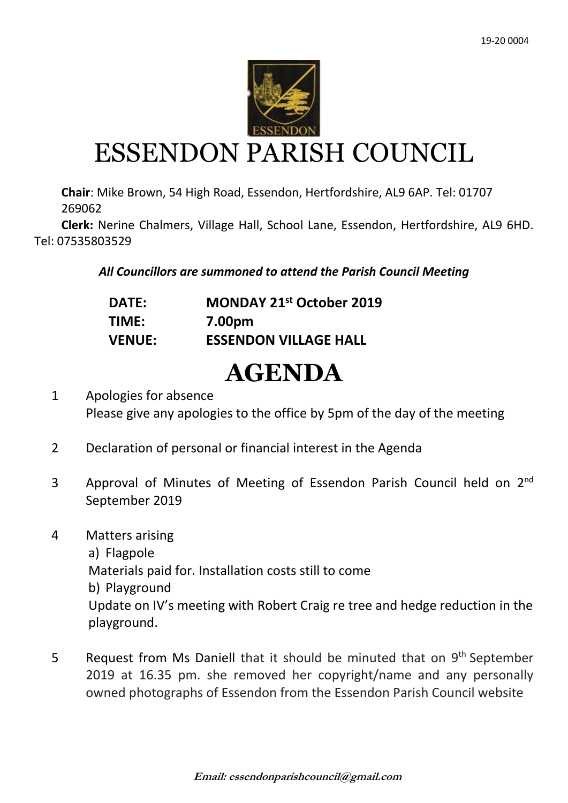

# ESSENDON PARISH COUNCIL

**Chair**: Mike Brown, 54 High Road, Essendon, Hertfordshire, AL9 6AP. Tel: 01707 269062

 **Clerk:** Nerine Chalmers, Village Hall, School Lane, Essendon, Hertfordshire, AL9 6HD. Tel: 07535803529

## *All Councillors are summoned to attend the Parish Council Meeting*

| <b>DATE:</b>  | MONDAY 21 <sup>st</sup> October 2019 |
|---------------|--------------------------------------|
| TIME:         | 7.00pm                               |
| <b>VENUE:</b> | <b>ESSENDON VILLAGE HALL</b>         |

# **AGENDA**

1 Apologies for absence Please give any apologies to the office by 5pm of the day of the meeting

- 2 Declaration of personal or financial interest in the Agenda
- 3 Approval of Minutes of Meeting of Essendon Parish Council held on 2<sup>nd</sup> September 2019
- 4 Matters arising
	- a) Flagpole

Materials paid for. Installation costs still to come

b) Playground

Update on IV's meeting with Robert Craig re tree and hedge reduction in the playground.

5 Request from Ms Daniell that it should be minuted that on 9<sup>th</sup> September 2019 at 16.35 pm. she removed her copyright/name and any personally owned photographs of Essendon from the Essendon Parish Council website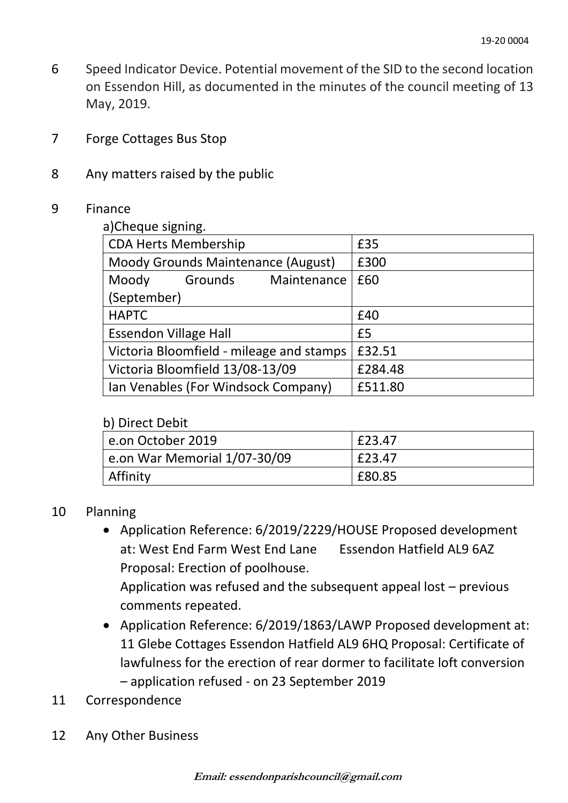- 6 Speed Indicator Device. Potential movement of the SID to the second location on Essendon Hill, as documented in the minutes of the council meeting of 13 May, 2019.
- 7 Forge Cottages Bus Stop
- 8 Any matters raised by the public

#### 9 Finance

a)Cheque signing

| <b>CDA Herts Membership</b>              |         | £35         |         |
|------------------------------------------|---------|-------------|---------|
| Moody Grounds Maintenance (August)       |         |             | £300    |
| Moody                                    | Grounds | Maintenance | £60     |
| (September)                              |         |             |         |
| <b>HAPTC</b>                             |         |             | £40     |
| <b>Essendon Village Hall</b>             |         |             | £5      |
| Victoria Bloomfield - mileage and stamps |         |             | £32.51  |
| Victoria Bloomfield 13/08-13/09          |         | £284.48     |         |
| Ian Venables (For Windsock Company)      |         |             | £511.80 |
|                                          |         |             |         |

#### b) Direct Debit

| ~~~~~~~~~~~~<br>e.on October 2019  | £23.47 |
|------------------------------------|--------|
| $ $ e.on War Memorial $1/07-30/09$ | £23.47 |
| Affinity                           | £80.85 |

### 10 Planning

• Application Reference: 6/2019/2229/HOUSE Proposed development at: West End Farm West End Lane Essendon Hatfield AL9 6AZ Proposal: Erection of poolhouse.

Application was refused and the subsequent appeal lost – previous comments repeated.

- Application Reference: 6/2019/1863/LAWP Proposed development at: 11 Glebe Cottages Essendon Hatfield AL9 6HQ Proposal: Certificate of lawfulness for the erection of rear dormer to facilitate loft conversion – application refused - on 23 September 2019
- 11 Correspondence
- 12 Any Other Business